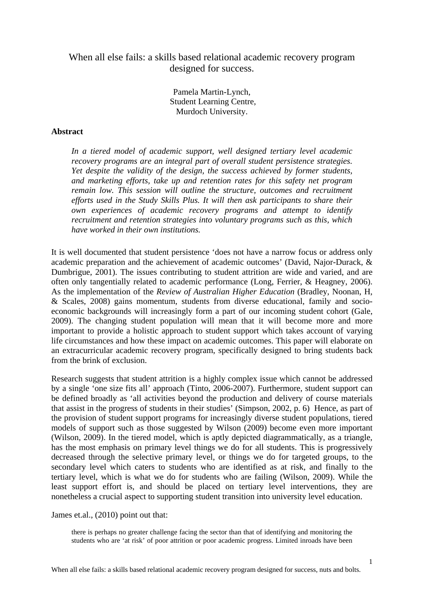When all else fails: a skills based relational academic recovery program designed for success.

> Pamela Martin-Lynch, Student Learning Centre, Murdoch University.

## **Abstract**

*In a tiered model of academic support, well designed tertiary level academic recovery programs are an integral part of overall student persistence strategies. Yet despite the validity of the design, the success achieved by former students, and marketing efforts, take up and retention rates for this safety net program remain low. This session will outline the structure, outcomes and recruitment efforts used in the Study Skills Plus. It will then ask participants to share their own experiences of academic recovery programs and attempt to identify recruitment and retention strategies into voluntary programs such as this, which have worked in their own institutions.* 

It is well documented that student persistence 'does not have a narrow focus or address only academic preparation and the achievement of academic outcomes' (David, Najor-Durack, & Dumbrigue, 2001). The issues contributing to student attrition are wide and varied, and are often only tangentially related to academic performance (Long, Ferrier, & Heagney, 2006). As the implementation of the *Review of Australian Higher Education* (Bradley, Noonan, H, & Scales, 2008) gains momentum, students from diverse educational, family and socioeconomic backgrounds will increasingly form a part of our incoming student cohort (Gale, 2009). The changing student population will mean that it will become more and more important to provide a holistic approach to student support which takes account of varying life circumstances and how these impact on academic outcomes. This paper will elaborate on an extracurricular academic recovery program, specifically designed to bring students back from the brink of exclusion.

Research suggests that student attrition is a highly complex issue which cannot be addressed by a single 'one size fits all' approach (Tinto, 2006-2007). Furthermore, student support can be defined broadly as 'all activities beyond the production and delivery of course materials that assist in the progress of students in their studies' (Simpson, 2002, p. 6) Hence, as part of the provision of student support programs for increasingly diverse student populations, tiered models of support such as those suggested by Wilson (2009) become even more important (Wilson, 2009). In the tiered model, which is aptly depicted diagrammatically, as a triangle, has the most emphasis on primary level things we do for all students. This is progressively decreased through the selective primary level, or things we do for targeted groups, to the secondary level which caters to students who are identified as at risk, and finally to the tertiary level, which is what we do for students who are failing (Wilson, 2009). While the least support effort is, and should be placed on tertiary level interventions, they are nonetheless a crucial aspect to supporting student transition into university level education.

James et.al., (2010) point out that:

there is perhaps no greater challenge facing the sector than that of identifying and monitoring the students who are 'at risk' of poor attrition or poor academic progress. Limited inroads have been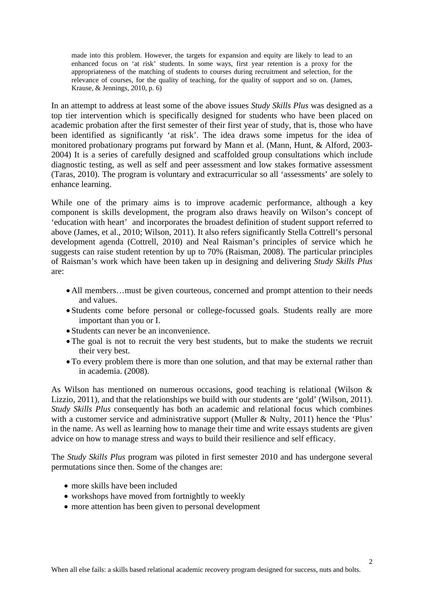made into this problem. However, the targets for expansion and equity are likely to lead to an enhanced focus on 'at risk' students. In some ways, first year retention is a proxy for the appropriateness of the matching of students to courses during recruitment and selection, for the relevance of courses, for the quality of teaching, for the quality of support and so on. (James, Krause, & Jennings, 2010, p. 6)

In an attempt to address at least some of the above issues *Study Skills Plus* was designed as a top tier intervention which is specifically designed for students who have been placed on academic probation after the first semester of their first year of study, that is, those who have been identified as significantly 'at risk'. The idea draws some impetus for the idea of monitored probationary programs put forward by Mann et al. (Mann, Hunt, & Alford, 2003- 2004) It is a series of carefully designed and scaffolded group consultations which include diagnostic testing, as well as self and peer assessment and low stakes formative assessment (Taras, 2010). The program is voluntary and extracurricular so all 'assessments' are solely to enhance learning.

While one of the primary aims is to improve academic performance, although a key component is skills development, the program also draws heavily on Wilson's concept of 'education with heart' and incorporates the broadest definition of student support referred to above (James, et al., 2010; Wilson, 2011). It also refers significantly Stella Cottrell's personal development agenda (Cottrell, 2010) and Neal Raisman's principles of service which he suggests can raise student retention by up to 70% (Raisman, 2008). The particular principles of Raisman's work which have been taken up in designing and delivering *Study Skills Plus* are:

- All members…must be given courteous, concerned and prompt attention to their needs and values.
- Students come before personal or college-focussed goals. Students really are more important than you or I.
- Students can never be an inconvenience.
- The goal is not to recruit the very best students, but to make the students we recruit their very best.
- To every problem there is more than one solution, and that may be external rather than in academia. (2008).

As Wilson has mentioned on numerous occasions, good teaching is relational (Wilson & Lizzio, 2011), and that the relationships we build with our students are 'gold' (Wilson, 2011). *Study Skills Plus* consequently has both an academic and relational focus which combines with a customer service and administrative support (Muller & Nulty, 2011) hence the 'Plus' in the name. As well as learning how to manage their time and write essays students are given advice on how to manage stress and ways to build their resilience and self efficacy.

The *Study Skills Plus* program was piloted in first semester 2010 and has undergone several permutations since then. Some of the changes are:

- more skills have been included
- workshops have moved from fortnightly to weekly
- more attention has been given to personal development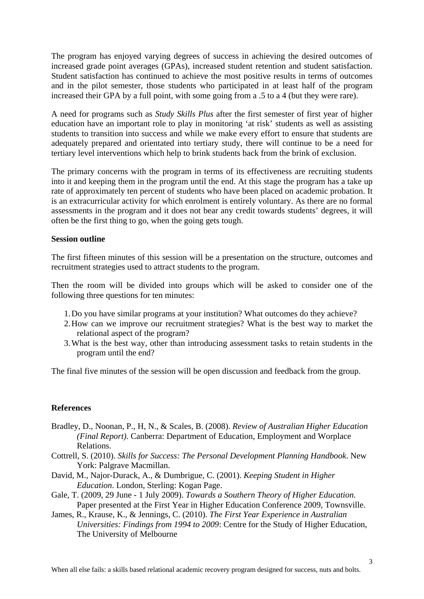The program has enjoyed varying degrees of success in achieving the desired outcomes of increased grade point averages (GPAs), increased student retention and student satisfaction. Student satisfaction has continued to achieve the most positive results in terms of outcomes and in the pilot semester, those students who participated in at least half of the program increased their GPA by a full point, with some going from a .5 to a 4 (but they were rare).

A need for programs such as *Study Skills Plus* after the first semester of first year of higher education have an important role to play in monitoring 'at risk' students as well as assisting students to transition into success and while we make every effort to ensure that students are adequately prepared and orientated into tertiary study, there will continue to be a need for tertiary level interventions which help to brink students back from the brink of exclusion.

The primary concerns with the program in terms of its effectiveness are recruiting students into it and keeping them in the program until the end. At this stage the program has a take up rate of approximately ten percent of students who have been placed on academic probation. It is an extracurricular activity for which enrolment is entirely voluntary. As there are no formal assessments in the program and it does not bear any credit towards students' degrees, it will often be the first thing to go, when the going gets tough.

## **Session outline**

The first fifteen minutes of this session will be a presentation on the structure, outcomes and recruitment strategies used to attract students to the program.

Then the room will be divided into groups which will be asked to consider one of the following three questions for ten minutes:

- 1.Do you have similar programs at your institution? What outcomes do they achieve?
- 2.How can we improve our recruitment strategies? What is the best way to market the relational aspect of the program?
- 3.What is the best way, other than introducing assessment tasks to retain students in the program until the end?

The final five minutes of the session will be open discussion and feedback from the group.

## **References**

- Bradley, D., Noonan, P., H, N., & Scales, B. (2008). *Review of Australian Higher Education (Final Report)*. Canberra: Department of Education, Employment and Worplace Relations.
- Cottrell, S. (2010). *Skills for Success: The Personal Development Planning Handbook*. New York: Palgrave Macmillan.
- David, M., Najor-Durack, A., & Dumbrigue, C. (2001). *Keeping Student in Higher Education*. London, Sterling: Kogan Page.
- Gale, T. (2009, 29 June 1 July 2009). *Towards a Southern Theory of Higher Education.* Paper presented at the First Year in Higher Education Conference 2009, Townsville.
- James, R., Krause, K., & Jennings, C. (2010). *The First Year Experience in Australian Universities: Findings from 1994 to 2009*: Centre for the Study of Higher Education, The University of Melbourne